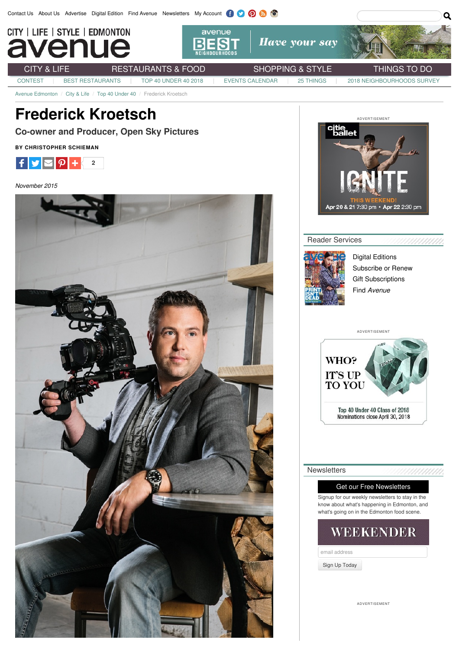

[CONTEST](http://www.avenueedmonton.com/Contest/) BEST [RESTAURANTS](http://www.avenueedmonton.com/Restaurants-Food/Best-Restaurants/) | TOP 40 [UNDER](http://www.avenueedmonton.com/City-Life/Top-40-Under-40/) 40 2018 | EVENTS [CALENDAR](http://www.avenueedmonton.com/Calendar/) | 25 [THINGS](http://www.avenueedmonton.com/Things-To-Do/25-Things-To-Do-This-April/) | 2018 [NEIGHBOURHOODS](http://www.avenueedmonton.com/2018-Best-Neighbourhoods-Survey/) SURVEY

Avenue Edmonton / City & Life / Top 40 Under 40 / Frederick Kroetsch

# **Frederick Kroetsch**

**Co-owner and Producer, Open Sky Pictures**

**BY CHRISTOPHER SCHIEMAN**



*November 2015*





### Reader Services



Digital [Editions](http://www.avenueedmonton.com/Digital-Issues/) S[ubscribe](http://www.avenueedmonton.com/Subscribe/) or Renew Gift Subscriptions Find *[Avenue](http://www.avenueedmonton.com/Subscribe/)*

,,,,,,,



#### **Newsletters**

### Get our Free Newsletters

Signup for our weekly newsletters to stay in the know about what's happening in Edmonton, and what's going on in the Edmonton food scene.

## WEEKENDER

email address

Sign Up Today

ADVERTISEMENT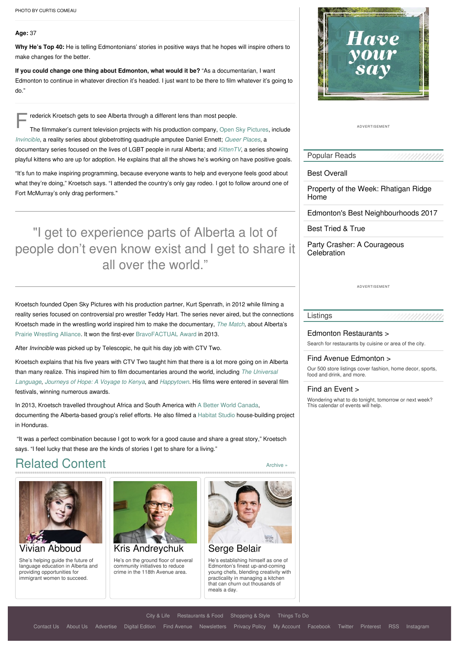#### **Age:** 37

**Why He's Top 40:** He is telling Edmontonians' stories in positive ways that he hopes will inspire others to make changes for the better.

**If you could change one thing about Edmonton, what would it be?** "As a documentarian, I want Edmonton to continue in whatever direction it's headed. I just want to be there to film whatever it's going to do."

Frederick Kroetsch gets to see Alberta through a different lens than most people.<br>The filmmaker's current television projects with his production company, Open S

The filmmaker's current television projects with his production company, Open Sky [Pictures](http://www.openskypictures.com/), include *[Invincible](http://www.openskypictures.com/#!invincible1/c1ym)*, a reality series about globetrotting quadruple amputee Daniel Ennett; *Queer [Places](http://www.openskypictures.com/#!queer-places/c1ifl)*, a documentary series focused on the lives of LGBT people in rural Alberta; and *[KittenTV](http://www.openskypictures.com/#!kittentvseries/c13zk)*, a series showing playful kittens who are up for adoption. He explains that all the shows he's working on have positive goals.

"It's fun to make inspiring programming, because everyone wants to help and everyone feels good about what they're doing," Kroetsch says. "I attended the country's only gay rodeo. I got to follow around one of Fort McMurray's only drag performers."

"I get to experience parts of Alberta a lot of people don't even know exist and I get to share it all over the world."

Kroetsch founded Open Sky Pictures with his production partner, Kurt Spenrath, in 2012 while filming a reality series focused on controversial pro wrestler Teddy Hart. The series never aired, but the connections Kroetsch made in the wrestling world inspired him to make the documentary, *The [Match,](http://www.openskypictures.com/#!the-match/c1gzu)* about Alberta's Prairie [Wrestling](http://pwawrestling.ca/) Alliance. It won the first-ever [BravoFACTUAL](http://www.bravofact.com/about-bravofactual/) Award in 2013.

After *Invincible* was picked up by Telescopic, he quit his day job with CTV Two.

Kroetsch explains that his five years with CTV Two taught him that there is a lot more going on in Alberta than many realize. This inspired him to film [documentaries](http://www.openskypictures.com/#!universal-language/cuf) around the world, including *The Universal Language*, *[Journeys](http://www.openskypictures.com/#!journey-of-hope/c1gcd) of Hope: A Voyage to Kenya*, and *[Happytown](http://www.openskypictures.com/#!happy-town/c1qbp)*. His films were entered in several film festivals, winning numerous awards.

In 2013, Kroetsch travelled throughout Africa and South America with A Better World [Canada,](http://www.abwcanada.ca/) documenting the Alberta-based group's relief efforts. He also filmed a [Habitat](http://habitat-studio.com/) Studio house-building project in Honduras.

"It was a perfect combination because I got to work for a good cause and share a great story," Kroetsch says. "I feel lucky that these are the kinds of stories I get to share for a living."

# Related Content



She's helping guide the future of language education in Alberta and providing opportunities for immigrant women to succeed.



He's on the ground floor of several community initiatives to reduce crime in the 118th Avenue area.



[Archive](http://www.avenueedmonton.com/Article-Archive/index.php?tagID=6826&operator=or) »

[Serge](http://www.avenueedmonton.com/City-Life/Top-40-Under-40/Serge-Belair/) Belair

He's establishing himself as one of Edmonton's finest up-and-coming young chefs, blending creativity with practicality in managing a kitchen that can churn out thousands of meals a day.



ADVERTISEMENT

Popular Reads

Best [Overall](http://www.avenueedmonton.com/Restaurants-Food/Best-Restaurants/2018/Best-Overall/)

Property of the Week: [Rhatigan](http://www.avenueedmonton.com/City-Life/Real-Estate/Property-of-the-Week-Rhatigan-Ridge-Home/) Ridge Home

Edmonton's Best [Neighbourhoods](http://www.avenueedmonton.com/City-Life/Neighbourhoods/Edmontons-Best-Neighbourhoods-2017/) 2017

Best [Tried](http://www.avenueedmonton.com/Restaurants-Food/Best-Restaurants/2018/Best-Tried-True/) & True

Party Crasher: A [Courageous](http://www.avenueedmonton.com/City-Life/Party-Crasher-A-Courageous-Celebration/) **Celebration** 

ADVERTISEMENT

#### Listings

Edmonton [Restaurants](http://www.avenueedmonton.com/Restaurant-Listings/) >

Search for restaurants by cuisine or area of the city.

#### Find Avenue [Edmonton](http://www.avenueedmonton.com/Find-Avenue-Edmonton/) >

Our 500 store listings cover fashion, home decor, sports, food and drink, and more.

#### Find an [Event](http://www.avenueedmonton.com/Calendar/) >

Wondering what to do tonight, tomorrow or next week? This calendar of events will help.